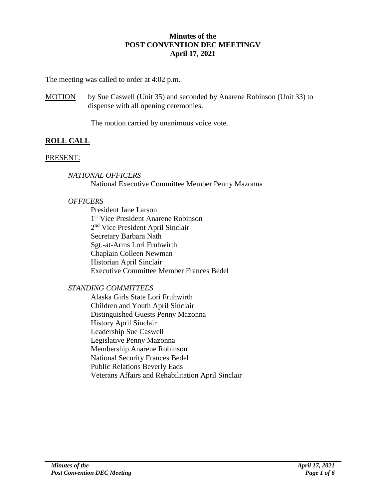## **Minutes of the POST CONVENTION DEC MEETINGV April 17, 2021**

The meeting was called to order at 4:02 p.m.

MOTION by Sue Caswell (Unit 35) and seconded by Anarene Robinson (Unit 33) to dispense with all opening ceremonies.

The motion carried by unanimous voice vote.

# **ROLL CALL**

## PRESENT:

*NATIONAL OFFICERS* National Executive Committee Member Penny Mazonna

## *OFFICERS*

President Jane Larson 1 st Vice President Anarene Robinson 2<sup>nd</sup> Vice President April Sinclair Secretary Barbara Nath Sgt.-at-Arms Lori Fruhwirth Chaplain Colleen Newman Historian April Sinclair Executive Committee Member Frances Bedel

# *STANDING COMMITTEES*

Alaska Girls State Lori Fruhwirth Children and Youth April Sinclair Distinguished Guests Penny Mazonna History April Sinclair Leadership Sue Caswell Legislative Penny Mazonna Membership Anarene Robinson National Security Frances Bedel Public Relations Beverly Eads Veterans Affairs and Rehabilitation April Sinclair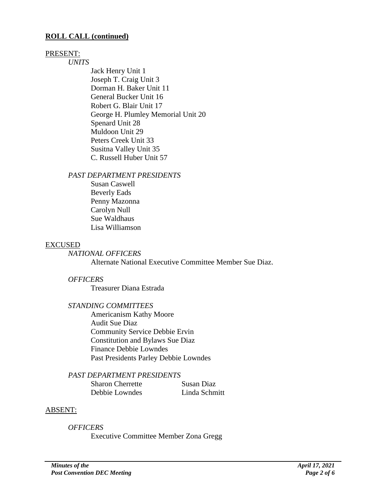#### **ROLL CALL (continued)**

#### PRESENT:

*UNITS*

Jack Henry Unit 1 Joseph T. Craig Unit 3 Dorman H. Baker Unit 11 General Bucker Unit 16 Robert G. Blair Unit 17 George H. Plumley Memorial Unit 20 Spenard Unit 28 Muldoon Unit 29 Peters Creek Unit 33 Susitna Valley Unit 35 C. Russell Huber Unit 57

#### *PAST DEPARTMENT PRESIDENTS*

Susan Caswell Beverly Eads Penny Mazonna Carolyn Null Sue Waldhaus Lisa Williamson

#### EXCUSED

*NATIONAL OFFICERS*

Alternate National Executive Committee Member Sue Diaz.

#### *OFFICERS*

Treasurer Diana Estrada

#### *STANDING COMMITTEES*

Americanism Kathy Moore Audit Sue Diaz Community Service Debbie Ervin Constitution and Bylaws Sue Diaz Finance Debbie Lowndes Past Presidents Parley Debbie Lowndes

#### *PAST DEPARTMENT PRESIDENTS*

| <b>Sharon Cherrette</b> | Susan Diaz    |
|-------------------------|---------------|
| Debbie Lowndes          | Linda Schmitt |

#### ABSENT:

*OFFICERS*

Executive Committee Member Zona Gregg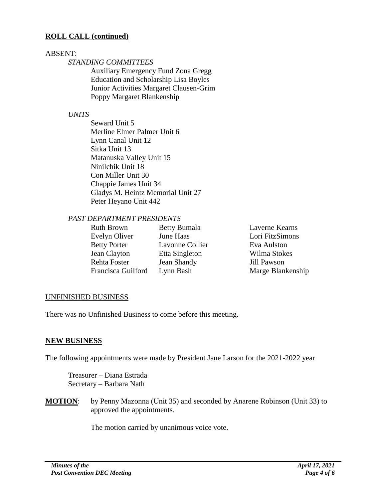### **ROLL CALL (continued)**

#### ABSENT:

## *STANDING COMMITTEES*

Auxiliary Emergency Fund Zona Gregg Education and Scholarship Lisa Boyles Junior Activities Margaret Clausen-Grim Poppy Margaret Blankenship

### *UNITS*

Seward Unit 5 Merline Elmer Palmer Unit 6 Lynn Canal Unit 12 Sitka Unit 13 Matanuska Valley Unit 15 Ninilchik Unit 18 Con Miller Unit 30 Chappie James Unit 34 Gladys M. Heintz Memorial Unit 27 Peter Heyano Unit 442

#### *PAST DEPARTMENT PRESIDENTS*

| Ruth Brown          | <b>Betty Bumala</b> |
|---------------------|---------------------|
| Evelyn Oliver       | June Haas           |
| <b>Betty Porter</b> | Lavonne Coll        |
| Jean Clayton        | Etta Singletor      |
| Rehta Foster        | Jean Shandy         |
| Francisca Guilford  | Lynn Bash           |

Laverne Kearns Lori FitzSimons lier Eva Aulston n Wilma Stokes Jill Pawson Marge Blankenship

#### UNFINISHED BUSINESS

There was no Unfinished Business to come before this meeting.

#### **NEW BUSINESS**

The following appointments were made by President Jane Larson for the 2021-2022 year

Treasurer – Diana Estrada Secretary – Barbara Nath

**MOTION:** by Penny Mazonna (Unit 35) and seconded by Anarene Robinson (Unit 33) to approved the appointments.

The motion carried by unanimous voice vote.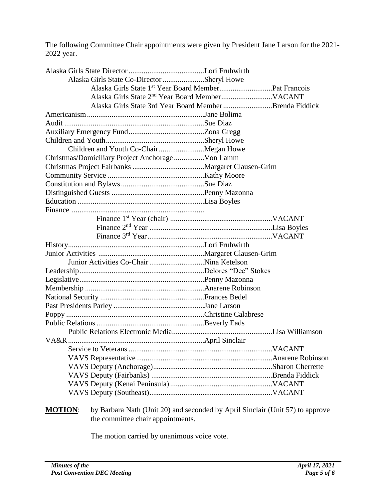The following Committee Chair appointments were given by President Jane Larson for the 2021- 2022 year.

| Alaska Girls State Co-Director Sheryl Howe                                                      |                                                         |
|-------------------------------------------------------------------------------------------------|---------------------------------------------------------|
|                                                                                                 |                                                         |
|                                                                                                 |                                                         |
|                                                                                                 | Alaska Girls State 3rd Year Board Member Brenda Fiddick |
|                                                                                                 |                                                         |
|                                                                                                 |                                                         |
|                                                                                                 |                                                         |
|                                                                                                 |                                                         |
| Children and Youth Co-ChairMegan Howe                                                           |                                                         |
| Christmas/Domiciliary Project Anchorage  Von Lamm                                               |                                                         |
|                                                                                                 |                                                         |
|                                                                                                 |                                                         |
|                                                                                                 |                                                         |
|                                                                                                 |                                                         |
|                                                                                                 |                                                         |
|                                                                                                 |                                                         |
|                                                                                                 |                                                         |
|                                                                                                 |                                                         |
|                                                                                                 |                                                         |
|                                                                                                 |                                                         |
|                                                                                                 |                                                         |
|                                                                                                 |                                                         |
|                                                                                                 |                                                         |
|                                                                                                 |                                                         |
|                                                                                                 |                                                         |
|                                                                                                 |                                                         |
|                                                                                                 |                                                         |
|                                                                                                 |                                                         |
|                                                                                                 |                                                         |
|                                                                                                 |                                                         |
|                                                                                                 |                                                         |
|                                                                                                 |                                                         |
|                                                                                                 |                                                         |
|                                                                                                 |                                                         |
|                                                                                                 |                                                         |
|                                                                                                 |                                                         |
|                                                                                                 |                                                         |
| <b>MOTION.</b> by Dephere Neth (Unit 20) and seconded by April Singlein (Unit $57$ ) to ennuave |                                                         |

**MOTION**: by Barbara Nath (Unit 20) and seconded by April Sinclair (Unit 57) to approve the committee chair appointments.

The motion carried by unanimous voice vote.